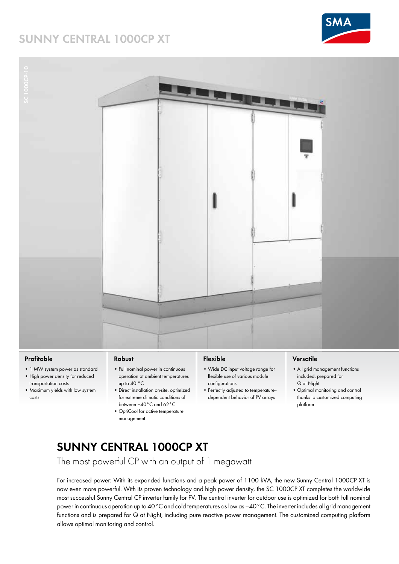## **SUNNY CENTRAL 1000CP XT**





#### **Profitable**

- 1 MW system power as standard
- High power density for reduced transportation costs
- Maximum yields with low system costs

#### **Robust**

- Full nominal power in continuous operation at ambient temperatures up to 40 °C
- Direct installation on-site, optimized for extreme climatic conditions of between −40°C and 62°C
- OptiCool for active temperature management

### **Flexible**

- Wide DC input voltage range for flexible use of various module configurations
- Perfectly adjusted to temperature- dependent behavior of PV arrays

#### **Versatile**

- All grid management functions included, prepared for Q at Night
- Optimal monitoring and control thanks to customized computing platform

## **Sunny Central 1000CP XT**

The most powerful CP with an output of 1 megawatt

For increased power: With its expanded functions and a peak power of 1100 kVA, the new Sunny Central 1000CP XT is now even more powerful. With its proven technology and high power density, the SC 1000CP XT completes the worldwide most successful Sunny Central CP inverter family for PV. The central inverter for outdoor use is optimized for both full nominal power in continuous operation up to 40°C and cold temperatures as low as −40°C. The inverter includes all grid management functions and is prepared for Q at Night, including pure reactive power management. The customized computing platform allows optimal monitoring and control.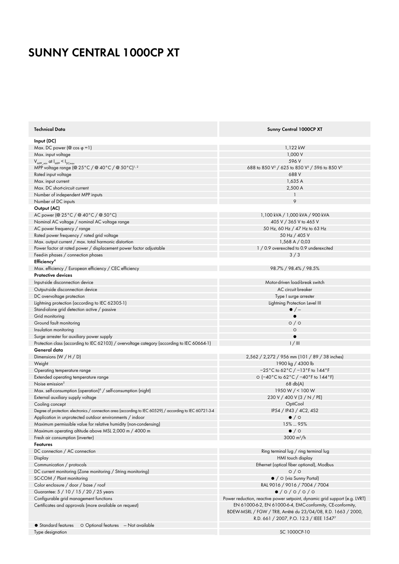# **SUNNY CENTRAL 1000CP XT**

| <b>Technical Data</b>                                                                                       | Sunny Central 1000CP XT                                                                                                                                               |
|-------------------------------------------------------------------------------------------------------------|-----------------------------------------------------------------------------------------------------------------------------------------------------------------------|
| Input (DC)                                                                                                  |                                                                                                                                                                       |
| Max. DC power ( $\textcircled{a}$ cos $\varphi$ = 1)                                                        | 1,122 kW                                                                                                                                                              |
| Max. input voltage                                                                                          | 1,000 V                                                                                                                                                               |
| $V_{MPP,min}$ at $I_{MPP} < I_{DCmax}$                                                                      | 596 V                                                                                                                                                                 |
| MPP voltage range (@ 25°C / @ 40°C / @ 50°C) <sup>1,2</sup>                                                 | 688 to 850 V <sup>3</sup> / 625 to 850 V <sup>3</sup> / 596 to 850 V <sup>3</sup>                                                                                     |
| Rated input voltage                                                                                         | 688 V                                                                                                                                                                 |
| Max. input current                                                                                          | 1,635 A                                                                                                                                                               |
| Max. DC short-circuit current                                                                               | 2,500 A                                                                                                                                                               |
| Number of independent MPP inputs                                                                            |                                                                                                                                                                       |
| Number of DC inputs                                                                                         | 9                                                                                                                                                                     |
| Output (AC)                                                                                                 |                                                                                                                                                                       |
| AC power (@ 25 °C / @ 40 °C / @ 50 °C)                                                                      | 1,100 kVA / 1,000 kVA / 900 kVA                                                                                                                                       |
| Nominal AC voltage / nominal AC voltage range                                                               | 405 V / 365 V to 465 V                                                                                                                                                |
| AC power frequency / range                                                                                  | 50 Hz, 60 Hz / 47 Hz to 63 Hz                                                                                                                                         |
| Rated power frequency / rated grid voltage                                                                  | 50 Hz / 405 V                                                                                                                                                         |
| Max. output current / max. total harmonic distortion                                                        | 1,568 A / 0,03                                                                                                                                                        |
| Power factor at rated power / displacement power factor adjustable                                          | 1 / 0.9 overexcited to 0.9 underexcited                                                                                                                               |
| Feed-in phases / connection phases                                                                          | 3/3                                                                                                                                                                   |
| Efficiency <sup>4</sup>                                                                                     |                                                                                                                                                                       |
| Max. efficiency / European efficiency / CEC efficiency                                                      | 98.7% / 98.4% / 98.5%                                                                                                                                                 |
| <b>Protective devices</b>                                                                                   |                                                                                                                                                                       |
| Input-side disconnection device                                                                             | Motor-driven load-break switch                                                                                                                                        |
| Output-side disconnection device                                                                            | AC circuit breaker                                                                                                                                                    |
| DC overvoltage protection                                                                                   | Type I surge arrester                                                                                                                                                 |
| Lightning protection (according to IEC 62305-1)                                                             | Lightning Protection Level III                                                                                                                                        |
|                                                                                                             | $\bullet$ / $-$                                                                                                                                                       |
| Stand-alone grid detection active / passive                                                                 |                                                                                                                                                                       |
| Grid monitoring                                                                                             |                                                                                                                                                                       |
| Ground fault monitoring                                                                                     | $\circ$ / $\circ$                                                                                                                                                     |
| Insulation monitoring                                                                                       | $\circ$                                                                                                                                                               |
| Surge arrester for auxiliary power supply                                                                   |                                                                                                                                                                       |
| Protection class (according to IEC 62103) / overvoltage category (according to IEC 60664-1)<br>General data | 1/111                                                                                                                                                                 |
|                                                                                                             |                                                                                                                                                                       |
| Dimensions $(W / H / D)$                                                                                    | 2,562 / 2,272 / 956 mm (101 / 89 / 38 inches)                                                                                                                         |
| Weight                                                                                                      | 1900 kg / 4300 lb<br>$-25^{\circ}$ C to 62 $^{\circ}$ C / $-13^{\circ}$ F to 144 $^{\circ}$ F                                                                         |
| Operating temperature range                                                                                 |                                                                                                                                                                       |
| Extended operating temperature range                                                                        | O (-40°C to 62°C / -40°F to 144°F)                                                                                                                                    |
| Noise emission <sup>5</sup>                                                                                 | $68$ db(A)                                                                                                                                                            |
| Max. self-consumption (operation) <sup>6</sup> / self-consumption (night)                                   | 1950 W / < 100 W                                                                                                                                                      |
| External auxiliary supply voltage                                                                           | 230 V / 400 V (3 / N / PE)                                                                                                                                            |
| Cooling concept                                                                                             | OptiCool                                                                                                                                                              |
| Degree of protection: electronics / connection area (according to IEC 60529) / according to IEC 60721-3-4   | IP54 / IP43 / 4C2, 4S2                                                                                                                                                |
| Application in unprotected outdoor environments / indoor                                                    | $\bullet$ / $\circ$                                                                                                                                                   |
| Maximum permissible value for relative humidity (non-condensing)                                            | 15%  95%                                                                                                                                                              |
| Maximum operating altitude above MSL 2,000 m / 4000 m                                                       | $\bullet$ / $\circ$                                                                                                                                                   |
| Fresh air consumption (inverter)                                                                            | 3000 $m^3/h$                                                                                                                                                          |
| <b>Features</b>                                                                                             |                                                                                                                                                                       |
| DC connection / AC connection                                                                               | Ring terminal lug / ring terminal lug                                                                                                                                 |
| Display                                                                                                     | HMI touch display                                                                                                                                                     |
| Communication / protocols                                                                                   | Ethernet (optical fiber optional), Modbus                                                                                                                             |
| DC current monitoring (Zone monitoring / String monitoring)                                                 | O/O                                                                                                                                                                   |
| SC-COM / Plant monitoring                                                                                   | • / O (via Sunny Portal)                                                                                                                                              |
| Color enclosure / door / base / roof                                                                        | RAL 9016 / 9016 / 7004 / 7004                                                                                                                                         |
| Guarantee: 5 / 10 / 15 / 20 / 25 years                                                                      | $\bullet$ /0/0/0/0                                                                                                                                                    |
| Configurable grid management functions                                                                      | Power reduction, reactive power setpoint, dynamic grid support (e.g. LVRT)                                                                                            |
| Certificates and approvals (more available on request)                                                      | EN 61000-6-2, EN 61000-6-4, EMC-conformity, CE-conformity,<br>BDEW-MSRL / FGW / TR8, Arrêté du 23/04/08, R.D. 1663 / 2000,<br>R.D. 661 / 2007, P.O. 12.3 / IEEE 15477 |
| • Standard features<br>O Optional features - Not available                                                  |                                                                                                                                                                       |
| Type designation                                                                                            | SC 1000CP-10                                                                                                                                                          |
|                                                                                                             |                                                                                                                                                                       |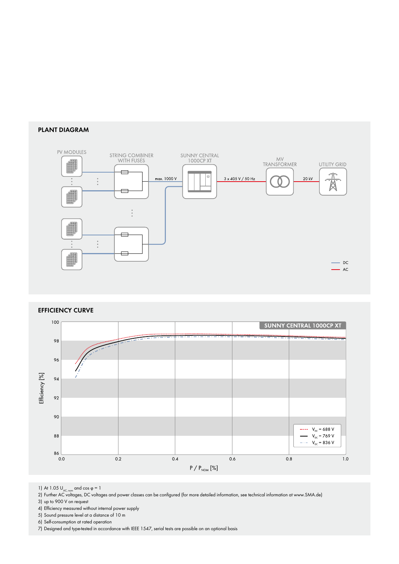### **PLANT Diagram**



#### **Efficiency Curve**



1) At 1.05  $U_{AC, nom}$  and cos φ = 1

2) Further AC voltages, DC voltages and power classes can be configured (for more detailed information, see technical information at www.SMA.de)

3) up to 900 V on request

4) Efficiency measured without internal power supply

5) Sound pressure level at a distance of 10 m

6) Self-consumption at rated operation

7) Designed and type-tested in accordance with IEEE 1547, serial tests are possible on an optional basis